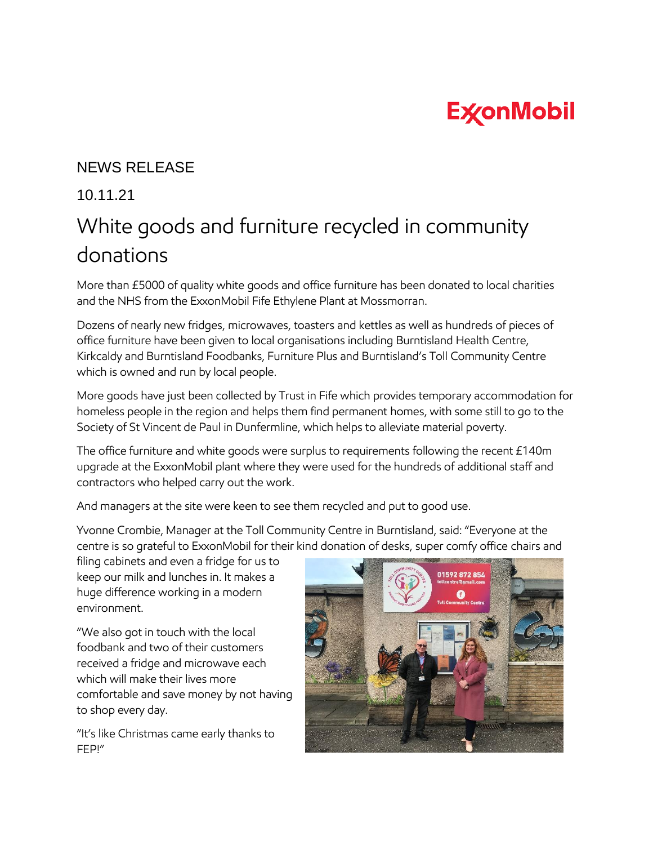## **ExconMobil**

## NEWS RELEASE

10.11.21

## White goods and furniture recycled in community donations

More than £5000 of quality white goods and office furniture has been donated to local charities and the NHS from the ExxonMobil Fife Ethylene Plant at Mossmorran.

Dozens of nearly new fridges, microwaves, toasters and kettles as well as hundreds of pieces of office furniture have been given to local organisations including Burntisland Health Centre, Kirkcaldy and Burntisland Foodbanks, Furniture Plus and Burntisland's Toll Community Centre which is owned and run by local people.

More goods have just been collected by Trust in Fife which provides temporary accommodation for homeless people in the region and helps them find permanent homes, with some still to go to the Society of St Vincent de Paul in Dunfermline, which helps to alleviate material poverty.

The office furniture and white goods were surplus to requirements following the recent £140m upgrade at the ExxonMobil plant where they were used for the hundreds of additional staff and contractors who helped carry out the work.

And managers at the site were keen to see them recycled and put to good use.

Yvonne Crombie, Manager at the Toll Community Centre in Burntisland, said: "Everyone at the centre is so grateful to ExxonMobil for their kind donation of desks, super comfy office chairs and

filing cabinets and even a fridge for us to keep our milk and lunches in. It makes a huge difference working in a modern environment.

"We also got in touch with the local foodbank and two of their customers received a fridge and microwave each which will make their lives more comfortable and save money by not having to shop every day.

"It's like Christmas came early thanks to FEP!"